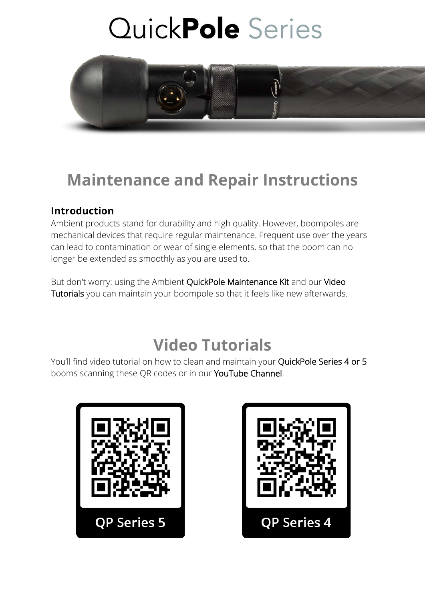

### **Maintenance and Repair Instructions**

#### **Introduction**

Ambient products stand for durability and high quality. However, boompoles are mechanical devices that require regular maintenance. Frequent use over the years can lead to contamination or wear of single elements, so that the boom can no longer be extended as smoothly as you are used to.

But don't worry: using the Ambient QuickPole Maintenance Kit and our Video Tutorials you can maintain your boompole so that it feels like new afterwards.

### **Video Tutorials**

You'll find video tutorial on how to clean and maintain your QuickPole Series 4 or 5 booms scanning these QR codes or in our YouTube Channel.



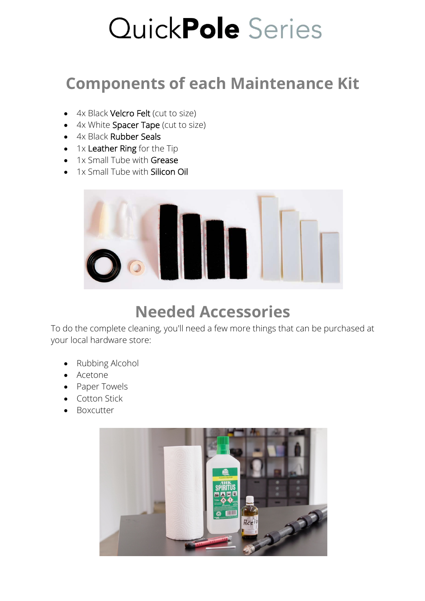## **Components of each Maintenance Kit**

- 4x Black Velcro Felt (cut to size)
- 4x White Spacer Tape (cut to size)
- 4x Black Rubber Seals
- 1x Leather Ring for the Tip
- 1x Small Tube with Grease
- 1x Small Tube with **Silicon Oil**



## **Needed Accessories**

To do the complete cleaning, you'll need a few more things that can be purchased at your local hardware store:

- Rubbing Alcohol
- Acetone
- Paper Towels
- Cotton Stick
- Boxcutter

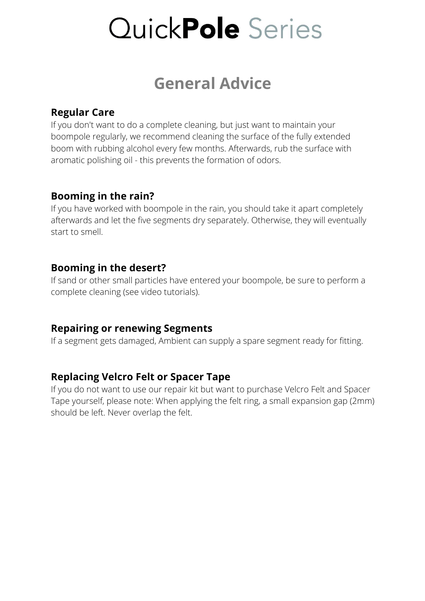### **General Advice**

#### **Regular Care**

If you don't want to do a complete cleaning, but just want to maintain your boompole regularly, we recommend cleaning the surface of the fully extended boom with rubbing alcohol every few months. Afterwards, rub the surface with aromatic polishing oil - this prevents the formation of odors.

#### **Booming in the rain?**

If you have worked with boompole in the rain, you should take it apart completely afterwards and let the five segments dry separately. Otherwise, they will eventually start to smell.

#### **Booming in the desert?**

If sand or other small particles have entered your boompole, be sure to perform a complete cleaning (see video tutorials).

#### **Repairing or renewing Segments**

If a segment gets damaged, Ambient can supply a spare segment ready for fitting.

#### **Replacing Velcro Felt or Spacer Tape**

If you do not want to use our repair kit but want to purchase Velcro Felt and Spacer Tape yourself, please note: When applying the felt ring, a small expansion gap (2mm) should be left. Never overlap the felt.